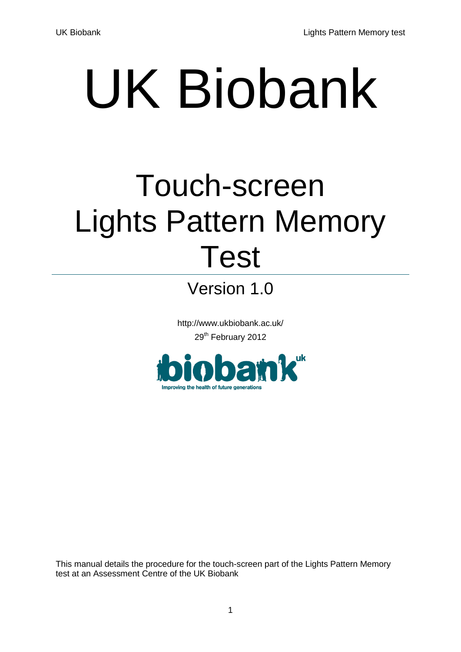# UK Biobank

## Touch-screen Lights Pattern Memory Test

Version 1.0

http://www.ukbiobank.ac.uk/ 29<sup>th</sup> February 2012



This manual details the procedure for the touch-screen part of the Lights Pattern Memory test at an Assessment Centre of the UK Biobank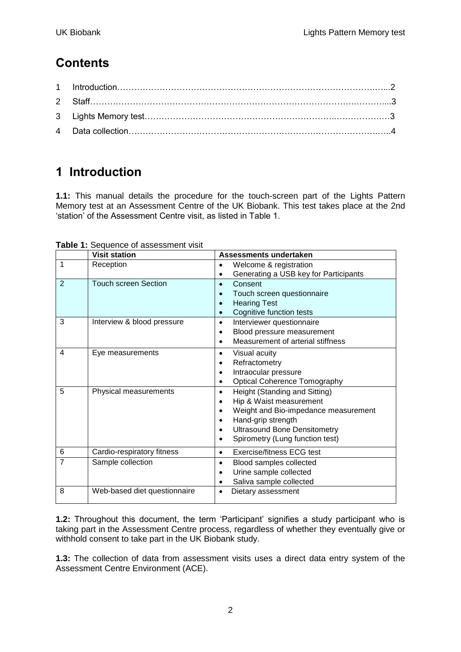#### **Contents**

### **1 Introduction**

**1.1:** This manual details the procedure for the touch-screen part of the Lights Pattern Memory test at an Assessment Centre of the UK Biobank. This test takes place at the 2nd 'station' of the Assessment Centre visit, as listed in Table 1.

|                | <b>Visit station</b>         | Assessments undertaken                           |
|----------------|------------------------------|--------------------------------------------------|
| 1              | Reception                    | Welcome & registration                           |
|                |                              | Generating a USB key for Participants            |
| 2              | <b>Touch screen Section</b>  | Consent<br>$\bullet$                             |
|                |                              | Touch screen questionnaire<br>$\bullet$          |
|                |                              | <b>Hearing Test</b><br>$\bullet$                 |
|                |                              | Cognitive function tests<br>$\bullet$            |
| 3              | Interview & blood pressure   | Interviewer questionnaire<br>$\bullet$           |
|                |                              | Blood pressure measurement<br>$\bullet$          |
|                |                              | Measurement of arterial stiffness<br>$\bullet$   |
| $\overline{4}$ | Eye measurements             | Visual acuity<br>$\bullet$                       |
|                |                              | Refractometry                                    |
|                |                              | Intraocular pressure<br>$\bullet$                |
|                |                              | <b>Optical Coherence Tomography</b><br>$\bullet$ |
| 5              | Physical measurements        | Height (Standing and Sitting)<br>$\bullet$       |
|                |                              | Hip & Waist measurement<br>$\bullet$             |
|                |                              | Weight and Bio-impedance measurement             |
|                |                              | Hand-grip strength<br>$\bullet$                  |
|                |                              | <b>Ultrasound Bone Densitometry</b><br>$\bullet$ |
|                |                              | Spirometry (Lung function test)<br>$\bullet$     |
| 6              | Cardio-respiratory fitness   | <b>Exercise/fitness ECG test</b><br>$\bullet$    |
| $\overline{7}$ | Sample collection            | Blood samples collected<br>$\bullet$             |
|                |                              | Urine sample collected<br>$\bullet$              |
|                |                              | Saliva sample collected                          |
| 8              | Web-based diet questionnaire | Dietary assessment<br>$\bullet$                  |

**Table 1:** Sequence of assessment visit

**1.2:** Throughout this document, the term 'Participant' signifies a study participant who is taking part in the Assessment Centre process, regardless of whether they eventually give or withhold consent to take part in the UK Biobank study.

**1.3:** The collection of data from assessment visits uses a direct data entry system of the Assessment Centre Environment (ACE).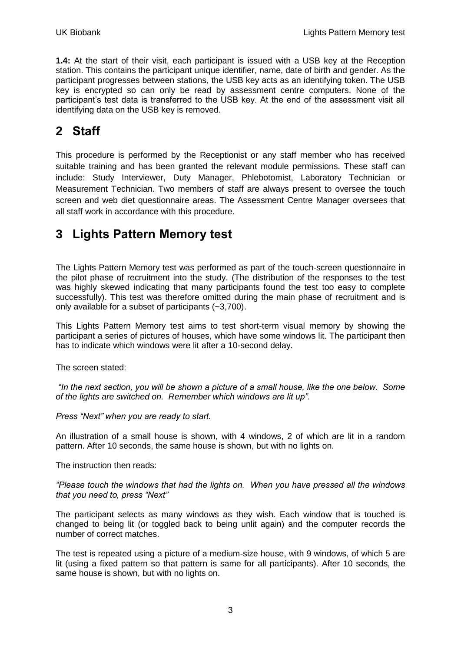**1.4:** At the start of their visit, each participant is issued with a USB key at the Reception station. This contains the participant unique identifier, name, date of birth and gender. As the participant progresses between stations, the USB key acts as an identifying token. The USB key is encrypted so can only be read by assessment centre computers. None of the participant's test data is transferred to the USB key. At the end of the assessment visit all identifying data on the USB key is removed.

#### **2 Staff**

This procedure is performed by the Receptionist or any staff member who has received suitable training and has been granted the relevant module permissions. These staff can include: Study Interviewer, Duty Manager, Phlebotomist, Laboratory Technician or Measurement Technician. Two members of staff are always present to oversee the touch screen and web diet questionnaire areas. The Assessment Centre Manager oversees that all staff work in accordance with this procedure.

#### **3 Lights Pattern Memory test**

The Lights Pattern Memory test was performed as part of the touch-screen questionnaire in the pilot phase of recruitment into the study. (The distribution of the responses to the test was highly skewed indicating that many participants found the test too easy to complete successfully). This test was therefore omitted during the main phase of recruitment and is only available for a subset of participants (~3,700).

This Lights Pattern Memory test aims to test short-term visual memory by showing the participant a series of pictures of houses, which have some windows lit. The participant then has to indicate which windows were lit after a 10-second delay.

The screen stated:

*"In the next section, you will be shown a picture of a small house, like the one below. Some of the lights are switched on. Remember which windows are lit up"*.

*Press "Next" when you are ready to start.*

An illustration of a small house is shown, with 4 windows, 2 of which are lit in a random pattern. After 10 seconds, the same house is shown, but with no lights on.

The instruction then reads:

*"Please touch the windows that had the lights on. When you have pressed all the windows that you need to, press "Next"*

The participant selects as many windows as they wish. Each window that is touched is changed to being lit (or toggled back to being unlit again) and the computer records the number of correct matches.

The test is repeated using a picture of a medium-size house, with 9 windows, of which 5 are lit (using a fixed pattern so that pattern is same for all participants). After 10 seconds, the same house is shown, but with no lights on.